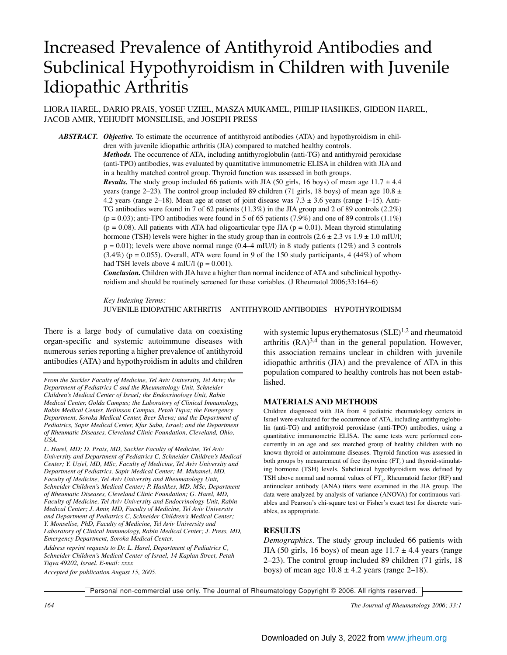# Increased Prevalence of Antithyroid Antibodies and Subclinical Hypothyroidism in Children with Juvenile Idiopathic Arthritis

LIORA HAREL, DARIO PRAIS, YOSEF UZIEL, MASZA MUKAMEL, PHILIP HASHKES, GIDEON HAREL, JACOB AMIR, YEHUDIT MONSELISE, and JOSEPH PRESS

*ABSTRACT. Objective.* To estimate the occurrence of antithyroid antibodies (ATA) and hypothyroidism in children with juvenile idiopathic arthritis (JIA) compared to matched healthy controls.

*Methods.* The occurrence of ATA, including antithyroglobulin (anti-TG) and antithyroid peroxidase (anti-TPO) antibodies, was evaluated by quantitative immunometric ELISA in children with JIA and in a healthy matched control group. Thyroid function was assessed in both groups.

*Results.* The study group included 66 patients with JIA (50 girls, 16 boys) of mean age  $11.7 \pm 4.4$ years (range 2–23). The control group included 89 children (71 girls, 18 boys) of mean age  $10.8 \pm$ 4.2 years (range 2–18). Mean age at onset of joint disease was 7.3 ± 3.6 years (range 1–15). Anti-TG antibodies were found in 7 of 62 patients (11.3%) in the JIA group and 2 of 89 controls (2.2%)  $(p = 0.03)$ ; anti-TPO antibodies were found in 5 of 65 patients (7.9%) and one of 89 controls (1.1%)  $(p = 0.08)$ . All patients with ATA had oligoarticular type JIA  $(p = 0.01)$ . Mean thyroid stimulating hormone (TSH) levels were higher in the study group than in controls  $(2.6 \pm 2.3 \text{ vs } 1.9 \pm 1.0 \text{ mIU/l};$  $p = 0.01$ ); levels were above normal range (0.4–4 mIU/l) in 8 study patients (12%) and 3 controls  $(3.4\%)$  (p = 0.055). Overall, ATA were found in 9 of the 150 study participants, 4 (44%) of whom had TSH levels above 4 mIU/l ( $p = 0.001$ ).

*Conclusion.* Children with JIA have a higher than normal incidence of ATA and subclinical hypothyroidism and should be routinely screened for these variables. (J Rheumatol 2006;33:164–6)

*Key Indexing Terms:* JUVENILE IDIOPATHIC ARTHRITIS ANTITHYROID ANTIBODIES HYPOTHYROIDISM

There is a large body of cumulative data on coexisting organ-specific and systemic autoimmune diseases with numerous series reporting a higher prevalence of antithyroid antibodies (ATA) and hypothyroidism in adults and children

*Address reprint requests to Dr. L. Harel, Department of Pediatrics C, Schneider Children's Medical Center of Israel, 14 Kaplan Street, Petah Tiqva 49202, Israel. E-mail: xxxx*

*Accepted for publication August 15, 2005.*

with systemic lupus erythematosus  $(SLE)^{1,2}$  and rheumatoid arthritis  $(RA)^{3,4}$  than in the general population. However, this association remains unclear in children with juvenile idiopathic arthritis (JIA) and the prevalence of ATA in this population compared to healthy controls has not been established.

### **MATERIALS AND METHODS**

Children diagnosed with JIA from 4 pediatric rheumatology centers in Israel were evaluated for the occurrence of ATA, including antithyroglobulin (anti-TG) and antithyroid peroxidase (anti-TPO) antibodies, using a quantitative immunometric ELISA. The same tests were performed concurrently in an age and sex matched group of healthy children with no known thyroid or autoimmune diseases. Thyroid function was assessed in both groups by measurement of free thyroxine  $(FT<sub>4</sub>)$  and thyroid-stimulating hormone (TSH) levels. Subclinical hypothyroidism was defined by TSH above normal and normal values of  $FT<sub>4</sub>$ . Rheumatoid factor (RF) and antinuclear antibody (ANA) titers were examined in the JIA group. The data were analyzed by analysis of variance (ANOVA) for continuous variables and Pearson's chi-square test or Fisher's exact test for discrete variables, as appropriate.

## **RESULTS**

*Demographics.* The study group included 66 patients with JIA (50 girls, 16 boys) of mean age  $11.7 \pm 4.4$  years (range 2–23). The control group included 89 children (71 girls, 18 boys) of mean age  $10.8 \pm 4.2$  years (range 2–18).

Personal non-commercial use only. The Journal of Rheumatology Copyright © 2006. All rights reserved.

*From the Sackler Faculty of Medicine, Tel Aviv University, Tel Aviv; the Department of Pediatrics C and the Rheumatology Unit, Schneider Children's Medical Center of Israel; the Endocrinology Unit, Rabin Medical Center, Golda Campus; the Laboratory of Clinical Immunology, Rabin Medical Center, Beilinson Campus, Petah Tiqva; the Emergency Department, Soroka Medical Center, Beer Sheva; and the Department of Pediatrics, Sapir Medical Center, Kfar Saba, Israel; and the Department of Rheumatic Diseases, Cleveland Clinic Foundation, Cleveland, Ohio, USA.*

*L. Harel, MD; D. Prais, MD, Sackler Faculty of Medicine, Tel Aviv University and Department of Pediatrics C, Schneider Children's Medical Center; Y. Uziel, MD, MSc, Faculty of Medicine, Tel Aviv University and Department of Pediatrics, Sapir Medical Center; M. Mukamel, MD, Faculty of Medicine, Tel Aviv University and Rheumatology Unit, Schneider Children's Medical Center; P. Hashkes, MD, MSc, Department of Rheumatic Diseases, Cleveland Clinic Foundation; G. Harel, MD, Faculty of Medicine, Tel Aviv University and Endocrinology Unit, Rabin Medical Center; J. Amir, MD, Faculty of Medicine, Tel Aviv University and Department of Pediatrics C, Schneider Children's Medical Center; Y. Monselise, PhD, Faculty of Medicine, Tel Aviv University and Laboratory of Clinical Immunology, Rabin Medical Center; J. Press, MD, Emergency Department, Soroka Medical Center.*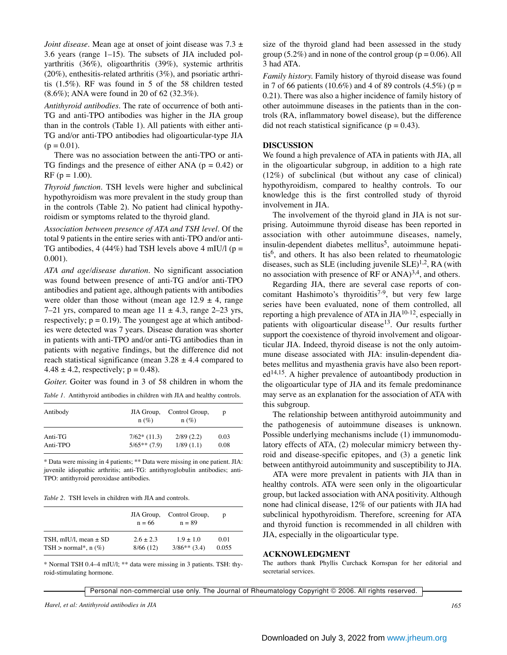*Joint disease*. Mean age at onset of joint disease was 7.3  $\pm$ 3.6 years (range 1–15). The subsets of JIA included polyarthritis (36%), oligoarthritis (39%), systemic arthritis  $(20\%)$ , enthesitis-related arthritis  $(3\%)$ , and psoriatic arthritis (1.5%). RF was found in 5 of the 58 children tested (8.6%); ANA were found in 20 of 62 (32.3%).

*Antithyroid antibodies.* The rate of occurrence of both anti-TG and anti-TPO antibodies was higher in the JIA group than in the controls (Table 1). All patients with either anti-TG and/or anti-TPO antibodies had oligoarticular-type JIA  $(p = 0.01)$ .

There was no association between the anti-TPO or anti-TG findings and the presence of either ANA ( $p = 0.42$ ) or RF ( $p = 1.00$ ).

*Thyroid function.* TSH levels were higher and subclinical hypothyroidism was more prevalent in the study group than in the controls (Table 2). No patient had clinical hypothyroidism or symptoms related to the thyroid gland.

*Association between presence of ATA and TSH level.* Of the total 9 patients in the entire series with anti-TPO and/or anti-TG antibodies, 4 (44%) had TSH levels above 4 mIU/l ( $p =$ 0.001).

*ATA and age/disease duration.* No significant association was found between presence of anti-TG and/or anti-TPO antibodies and patient age, although patients with antibodies were older than those without (mean age  $12.9 \pm 4$ , range 7–21 yrs, compared to mean age  $11 \pm 4.3$ , range 2–23 yrs, respectively;  $p = 0.19$ ). The youngest age at which antibodies were detected was 7 years. Disease duration was shorter in patients with anti-TPO and/or anti-TG antibodies than in patients with negative findings, but the difference did not reach statistical significance (mean  $3.28 \pm 4.4$  compared to  $4.48 \pm 4.2$ , respectively; p = 0.48).

*Goiter.* Goiter was found in 3 of 58 children in whom the

*Table 1.* Antithyroid antibodies in children with JIA and healthy controls.

| Antibody | JIA Group,<br>$n(\%)$ | Control Group,<br>$n(\%)$ | D    |
|----------|-----------------------|---------------------------|------|
| Anti-TG  | $7/62$ (11.3)         | 2/89(2.2)                 | 0.03 |
| Anti-TPO | $5/65**$ (7.9)        | 1/89(1.1)                 | 0.08 |

\* Data were missing in 4 patients; \*\* Data were missing in one patient. JIA: juvenile idiopathic arthritis; anti-TG: antithyroglobulin antibodies; anti-TPO: antithyroid peroxidase antibodies.

*Table 2.* TSH levels in children with JIA and controls.

|                             | JIA Group,<br>$n = 66$ | Control Group,<br>$n = 89$ | D     |
|-----------------------------|------------------------|----------------------------|-------|
| TSH, mIU/l, mean $\pm$ SD   | $2.6 + 2.3$            | $1.9 + 1.0$                | 0.01  |
| $TSH > normal^*$ , n $(\%)$ | 8/66(12)               | $3/86**$ (3.4)             | 0.055 |

\* Normal TSH 0.4–4 mIU/l; \*\* data were missing in 3 patients. TSH: thyroid-stimulating hormone.

size of the thyroid gland had been assessed in the study group (5.2%) and in none of the control group ( $p = 0.06$ ). All 3 had ATA.

*Family history.* Family history of thyroid disease was found in 7 of 66 patients (10.6%) and 4 of 89 controls (4.5%) ( $p =$ 0.21). There was also a higher incidence of family history of other autoimmune diseases in the patients than in the controls (RA, inflammatory bowel disease), but the difference did not reach statistical significance ( $p = 0.43$ ).

#### **DISCUSSION**

We found a high prevalence of ATA in patients with JIA, all in the oligoarticular subgroup, in addition to a high rate (12%) of subclinical (but without any case of clinical) hypothyroidism, compared to healthy controls. To our knowledge this is the first controlled study of thyroid involvement in JIA.

The involvement of the thyroid gland in JIA is not surprising. Autoimmune thyroid disease has been reported in association with other autoimmune diseases, namely, insulin-dependent diabetes mellitus<sup>5</sup>, autoimmune hepati $tis<sup>6</sup>$ , and others. It has also been related to rheumatologic diseases, such as SLE (including juvenile  $SLE$ )<sup>1,2</sup>, RA (with no association with presence of RF or  $ANA$ <sup>3,4</sup>, and others.

Regarding JIA, there are several case reports of concomitant Hashimoto's thyroiditis<sup>7-9</sup>, but very few large series have been evaluated, none of them controlled, all reporting a high prevalence of ATA in  $JIA^{10-12}$ , especially in patients with oligoarticular disease<sup>13</sup>. Our results further support the coexistence of thyroid involvement and oligoarticular JIA. Indeed, thyroid disease is not the only autoimmune disease associated with JIA: insulin-dependent diabetes mellitus and myasthenia gravis have also been report $ed^{14,15}$ . A higher prevalence of autoantibody production in the oligoarticular type of JIA and its female predominance may serve as an explanation for the association of ATA with this subgroup.

The relationship between antithyroid autoimmunity and the pathogenesis of autoimmune diseases is unknown. Possible underlying mechanisms include (1) immunomodulatory effects of ATA, (2) molecular mimicry between thyroid and disease-specific epitopes, and (3) a genetic link between antithyroid autoimmunity and susceptibility to JIA.

ATA were more prevalent in patients with JIA than in healthy controls. ATA were seen only in the oligoarticular group, but lacked association with ANA positivity. Although none had clinical disease, 12% of our patients with JIA had subclinical hypothyroidism. Therefore, screening for ATA and thyroid function is recommended in all children with JIA, especially in the oligoarticular type.

#### **ACKNOWLEDGMENT**

The authors thank Phyllis Curchack Kornspan for her editorial and secretarial services.

Personal non-commercial use only. The Journal of Rheumatology Copyright © 2006. All rights reserved.

*Harel, et al: Antithyroid antibodies in JIA 165*